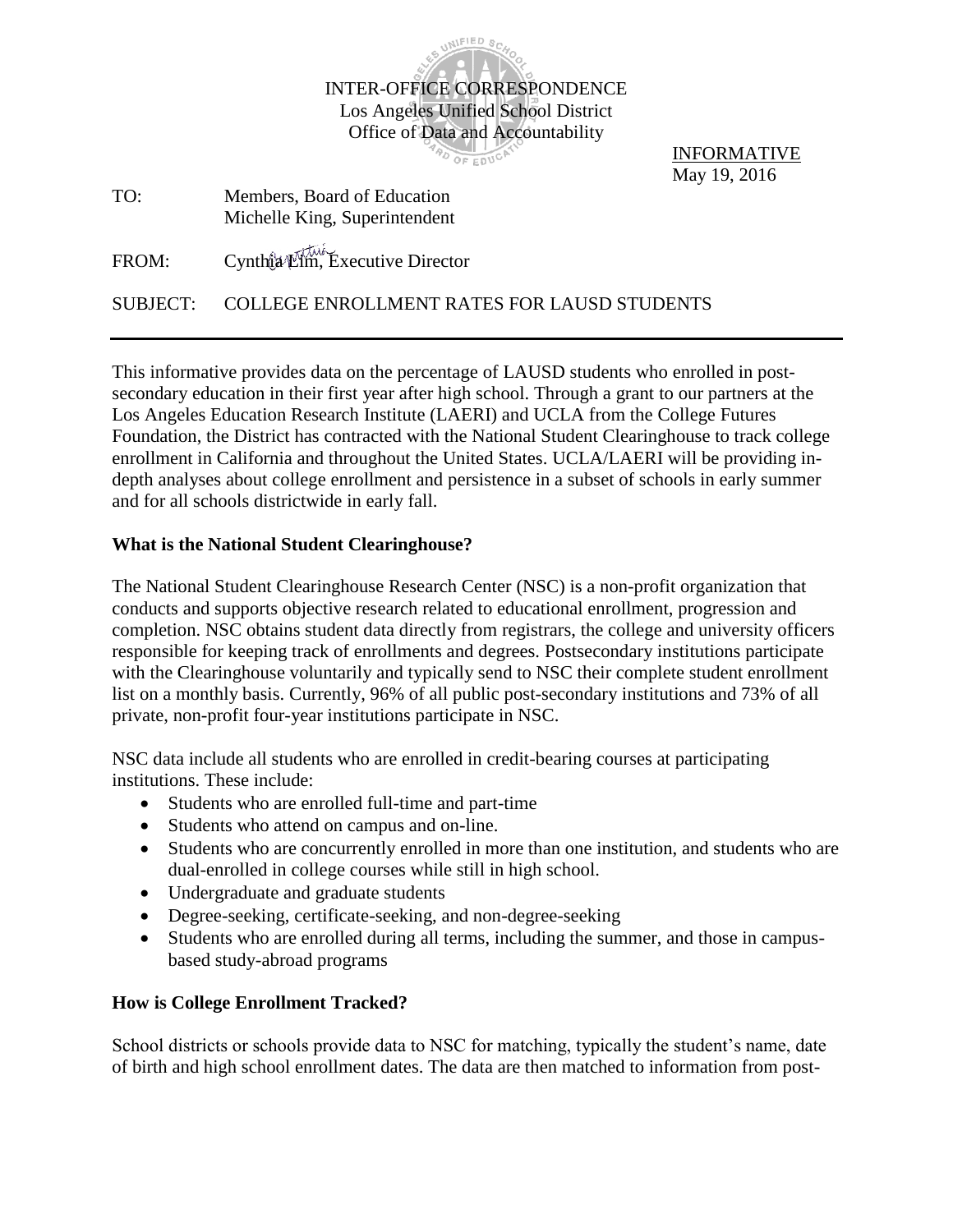

AD OF EDUCAT

INFORMATIVE May 19, 2016

| TO: | Members, Board of Education   |
|-----|-------------------------------|
|     | Michelle King, Superintendent |

FROM: Cynthia Lim, Executive Director

SUBJECT: COLLEGE ENROLLMENT RATES FOR LAUSD STUDENTS

This informative provides data on the percentage of LAUSD students who enrolled in postsecondary education in their first year after high school. Through a grant to our partners at the Los Angeles Education Research Institute (LAERI) and UCLA from the College Futures Foundation, the District has contracted with the National Student Clearinghouse to track college enrollment in California and throughout the United States. UCLA/LAERI will be providing indepth analyses about college enrollment and persistence in a subset of schools in early summer and for all schools districtwide in early fall.

## **What is the National Student Clearinghouse?**

The National Student Clearinghouse Research Center (NSC) is a non-profit organization that conducts and supports objective research related to educational enrollment, progression and completion. NSC obtains student data directly from registrars, the college and university officers responsible for keeping track of enrollments and degrees. Postsecondary institutions participate with the Clearinghouse voluntarily and typically send to NSC their complete student enrollment list on a monthly basis. Currently, 96% of all public post-secondary institutions and 73% of all private, non-profit four-year institutions participate in NSC.

NSC data include all students who are enrolled in credit-bearing courses at participating institutions. These include:

- Students who are enrolled full-time and part-time
- Students who attend on campus and on-line.
- Students who are concurrently enrolled in more than one institution, and students who are dual-enrolled in college courses while still in high school.
- Undergraduate and graduate students
- Degree-seeking, certificate-seeking, and non-degree-seeking
- Students who are enrolled during all terms, including the summer, and those in campusbased study-abroad programs

## **How is College Enrollment Tracked?**

School districts or schools provide data to NSC for matching, typically the student's name, date of birth and high school enrollment dates. The data are then matched to information from post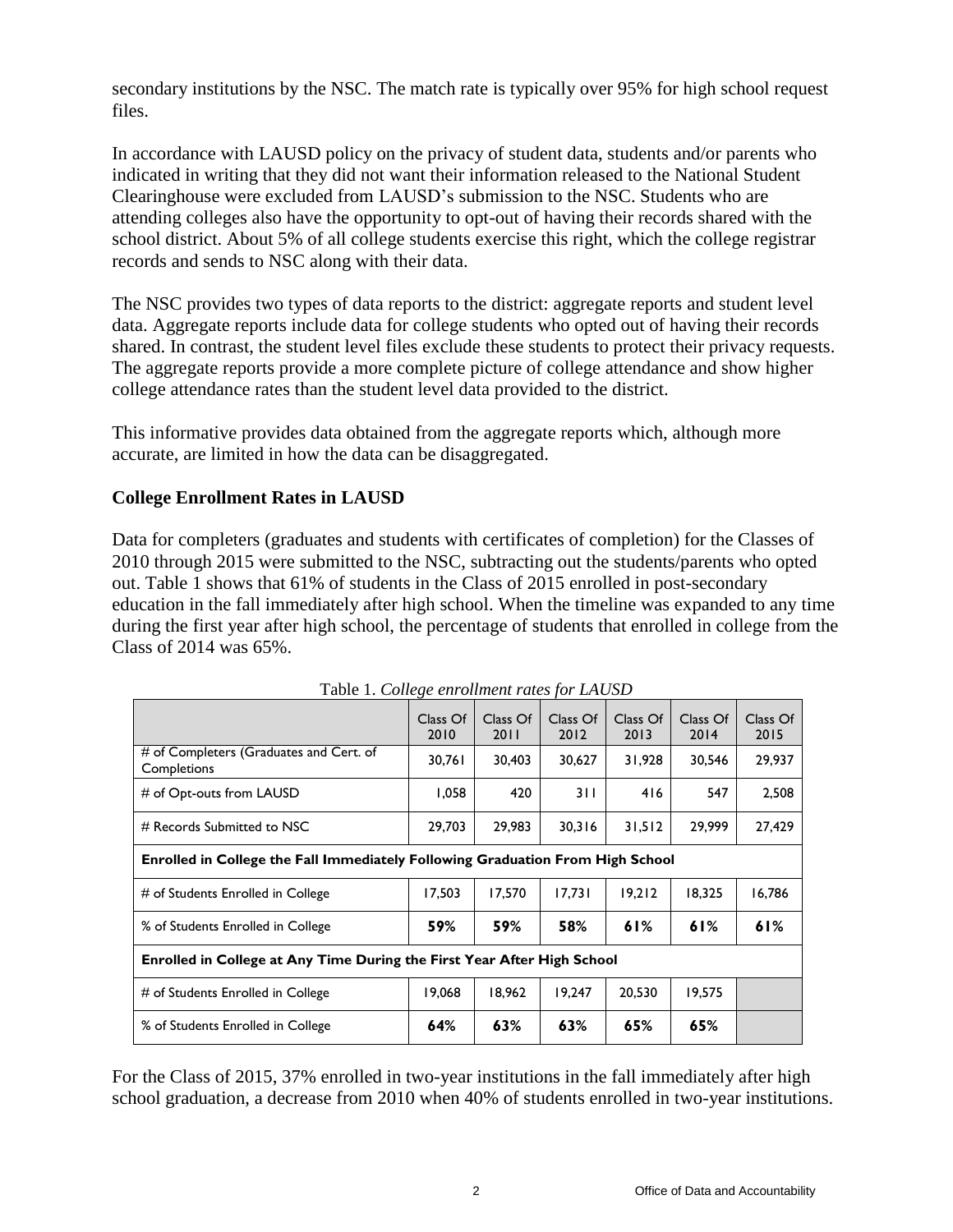secondary institutions by the NSC. The match rate is typically over 95% for high school request files.

In accordance with LAUSD policy on the privacy of student data, students and/or parents who indicated in writing that they did not want their information released to the National Student Clearinghouse were excluded from LAUSD's submission to the NSC. Students who are attending colleges also have the opportunity to opt-out of having their records shared with the school district. About 5% of all college students exercise this right, which the college registrar records and sends to NSC along with their data.

The NSC provides two types of data reports to the district: aggregate reports and student level data. Aggregate reports include data for college students who opted out of having their records shared. In contrast, the student level files exclude these students to protect their privacy requests. The aggregate reports provide a more complete picture of college attendance and show higher college attendance rates than the student level data provided to the district.

This informative provides data obtained from the aggregate reports which, although more accurate, are limited in how the data can be disaggregated.

## **College Enrollment Rates in LAUSD**

Data for completers (graduates and students with certificates of completion) for the Classes of 2010 through 2015 were submitted to the NSC, subtracting out the students/parents who opted out. Table 1 shows that 61% of students in the Class of 2015 enrolled in post-secondary education in the fall immediately after high school. When the timeline was expanded to any time during the first year after high school, the percentage of students that enrolled in college from the Class of 2014 was 65%.

| Tuble 1. Concrete chromatical rates for Execute                                |                  |                  |                  |                  |                  |                  |
|--------------------------------------------------------------------------------|------------------|------------------|------------------|------------------|------------------|------------------|
|                                                                                | Class Of<br>2010 | Class Of<br>2011 | Class Of<br>2012 | Class Of<br>2013 | Class Of<br>2014 | Class Of<br>2015 |
| # of Completers (Graduates and Cert. of<br>Completions                         | 30,761           | 30,403           | 30,627           | 31,928           | 30,546           | 29,937           |
| # of Opt-outs from LAUSD                                                       | 1,058            | 420              | 311              | 416              | 547              | 2,508            |
| # Records Submitted to NSC                                                     | 29,703           | 29,983           | 30,316           | 31,512           | 29,999           | 27,429           |
| Enrolled in College the Fall Immediately Following Graduation From High School |                  |                  |                  |                  |                  |                  |
| # of Students Enrolled in College                                              | 17,503           | 17,570           | 17,731           | 19,212           | 18,325           | 16,786           |
| % of Students Enrolled in College                                              | 59%              | 59%              | 58%              | 61%              | 61%              | 61%              |
| Enrolled in College at Any Time During the First Year After High School        |                  |                  |                  |                  |                  |                  |
| # of Students Enrolled in College                                              | 19,068           | 18,962           | 19.247           | 20,530           | 19,575           |                  |
| % of Students Enrolled in College                                              | 64%              | 63%              | 63%              | 65%              | 65%              |                  |

Table 1. *College enrollment rates for LAUSD*

For the Class of 2015, 37% enrolled in two-year institutions in the fall immediately after high school graduation, a decrease from 2010 when 40% of students enrolled in two-year institutions.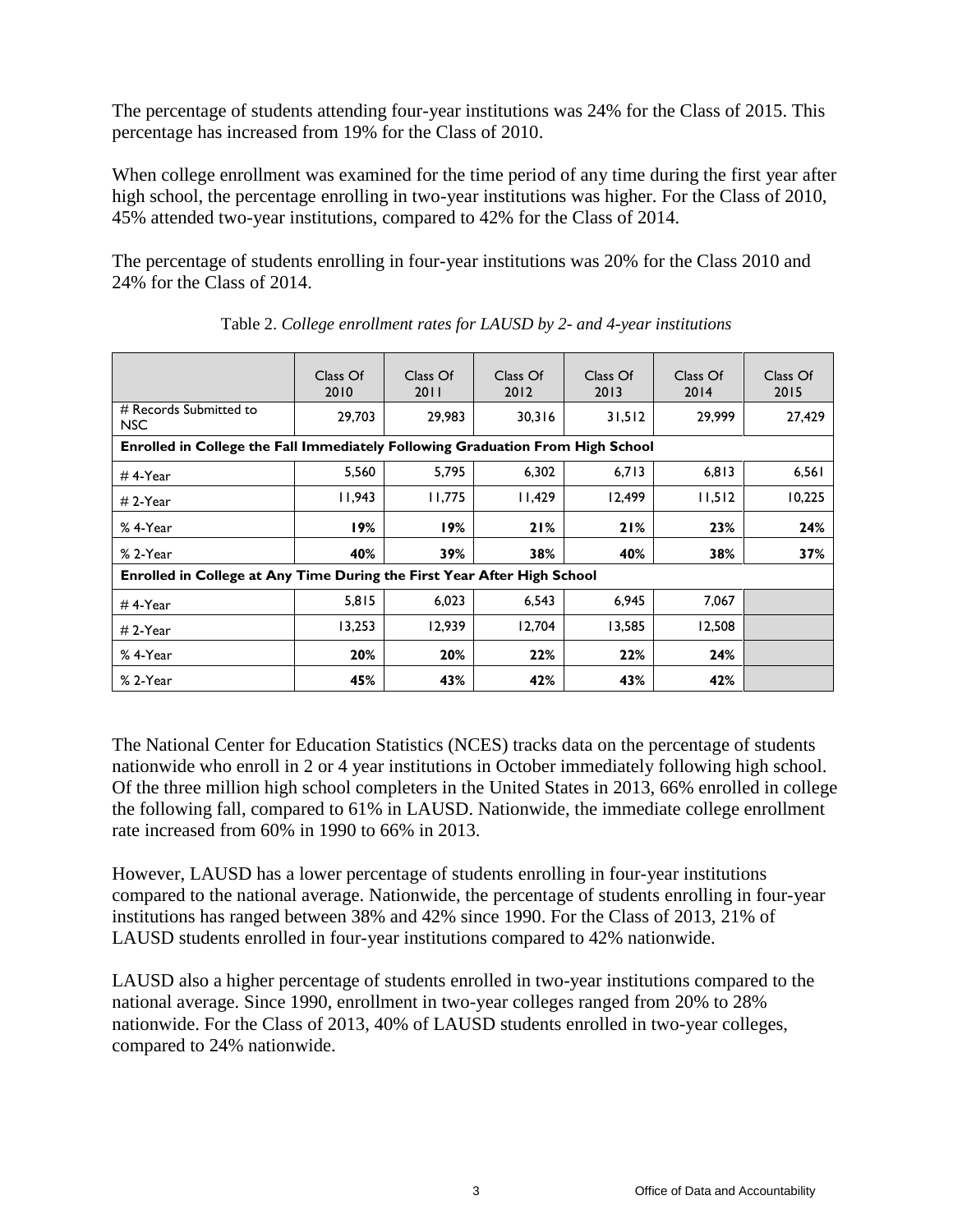The percentage of students attending four-year institutions was 24% for the Class of 2015. This percentage has increased from 19% for the Class of 2010.

When college enrollment was examined for the time period of any time during the first year after high school, the percentage enrolling in two-year institutions was higher. For the Class of 2010, 45% attended two-year institutions, compared to 42% for the Class of 2014.

The percentage of students enrolling in four-year institutions was 20% for the Class 2010 and 24% for the Class of 2014.

|                                                                         | Class Of<br>2010                                                               | Class Of<br>2011 | Class Of<br>2012 | Class Of<br>2013 | Class Of<br>2014 | Class Of<br>2015 |  |
|-------------------------------------------------------------------------|--------------------------------------------------------------------------------|------------------|------------------|------------------|------------------|------------------|--|
| # Records Submitted to<br><b>NSC</b>                                    | 29,703                                                                         | 29,983           | 30,316           | 31,512           | 29,999           | 27,429           |  |
|                                                                         | Enrolled in College the Fall Immediately Following Graduation From High School |                  |                  |                  |                  |                  |  |
| $#$ 4-Year                                                              | 5,560                                                                          | 5,795            | 6,302            | 6,713            | 6,813            | 6,561            |  |
| $# 2-Year$                                                              | 11,943                                                                         | 11.775           | 11,429           | 12,499           | 11,512           | 10,225           |  |
| % 4-Year                                                                | 19%                                                                            | 19%              | 21%              | 21%              | 23%              | 24%              |  |
| % 2-Year                                                                | 40%                                                                            | 39%              | 38%              | 40%              | 38%              | 37%              |  |
| Enrolled in College at Any Time During the First Year After High School |                                                                                |                  |                  |                  |                  |                  |  |
| $#$ 4-Year                                                              | 5,815                                                                          | 6,023            | 6,543            | 6,945            | 7,067            |                  |  |
| $# 2-Year$                                                              | 13,253                                                                         | 12.939           | 12,704           | 13,585           | 12,508           |                  |  |
| % 4-Year                                                                | 20%                                                                            | 20%              | 22%              | 22%              | 24%              |                  |  |
| % 2-Year                                                                | 45%                                                                            | 43%              | 42%              | 43%              | 42%              |                  |  |

Table 2. *College enrollment rates for LAUSD by 2- and 4-year institutions*

The National Center for Education Statistics (NCES) tracks data on the percentage of students nationwide who enroll in 2 or 4 year institutions in October immediately following high school. Of the three million high school completers in the United States in 2013, 66% enrolled in college the following fall, compared to 61% in LAUSD. Nationwide, the immediate college enrollment rate increased from 60% in 1990 to 66% in 2013.

However, LAUSD has a lower percentage of students enrolling in four-year institutions compared to the national average. Nationwide, the percentage of students enrolling in four-year institutions has ranged between 38% and 42% since 1990. For the Class of 2013, 21% of LAUSD students enrolled in four-year institutions compared to 42% nationwide.

LAUSD also a higher percentage of students enrolled in two-year institutions compared to the national average. Since 1990, enrollment in two-year colleges ranged from 20% to 28% nationwide. For the Class of 2013, 40% of LAUSD students enrolled in two-year colleges, compared to 24% nationwide.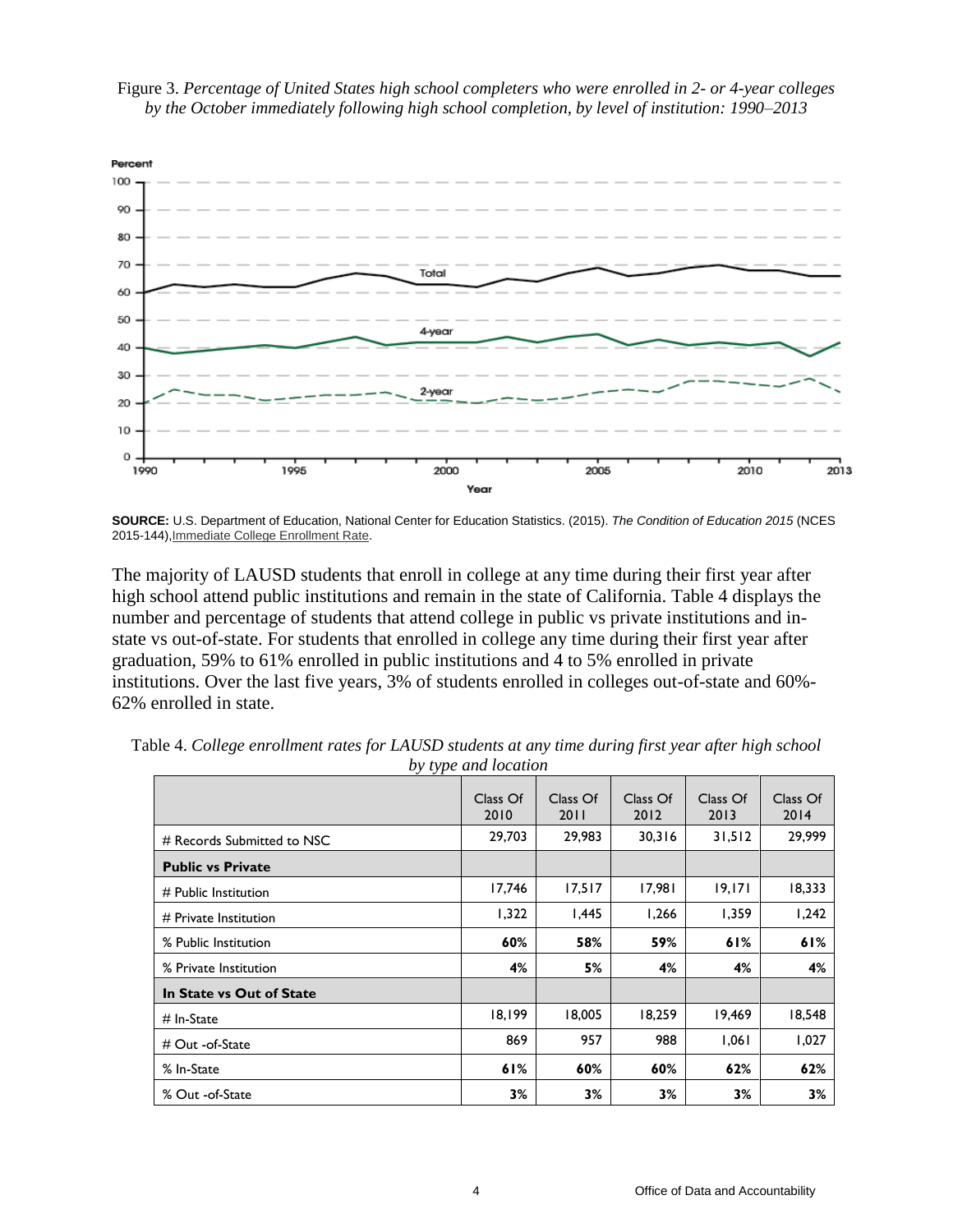

## Figure 3. *Percentage of United States high school completers who were enrolled in 2- or 4-year colleges by the October immediately following high school completion, by level of institution: 1990–2013*

**SOURCE:** U.S. Department of Education, National Center for Education Statistics. (2015). *The Condition of Education 2015* (NCES 2015-144[\),Immediate College Enrollment Rate.](http://nces.ed.gov/programs/coe/indicator_cpa.asp)

The majority of LAUSD students that enroll in college at any time during their first year after high school attend public institutions and remain in the state of California. Table 4 displays the number and percentage of students that attend college in public vs private institutions and instate vs out-of-state. For students that enrolled in college any time during their first year after graduation, 59% to 61% enrolled in public institutions and 4 to 5% enrolled in private institutions. Over the last five years, 3% of students enrolled in colleges out-of-state and 60%- 62% enrolled in state.

|                            | Class Of<br>2010 | Class Of<br>2011 | Class Of<br>2012 | Class Of<br>2013 | Class Of<br>2014 |
|----------------------------|------------------|------------------|------------------|------------------|------------------|
| # Records Submitted to NSC | 29,703           | 29,983           | 30,316           | 31,512           | 29,999           |
| <b>Public vs Private</b>   |                  |                  |                  |                  |                  |
| $#$ Public Institution     | 17,746           | 17,517           | 17,981           | 19,171           | 18,333           |
| $#$ Private Institution    | 1,322            | 1,445            | 1,266            | 1,359            | 1,242            |
| % Public Institution       | 60%              | 58%              | 59%              | 61%              | 61%              |
| % Private Institution      | 4%               | 5%               | 4%               | 4%               | 4%               |
| In State vs Out of State   |                  |                  |                  |                  |                  |
| $#$ In-State               | 18,199           | 18,005           | 18,259           | 19,469           | 18,548           |
| # Out -of-State            | 869              | 957              | 988              | 1,061            | 1,027            |
| % In-State                 | 61%              | 60%              | 60%              | 62%              | 62%              |
| % Out -of-State            | 3%               | 3%               | 3%               | 3%               | 3%               |

Table 4. *College enrollment rates for LAUSD students at any time during first year after high school by type and location*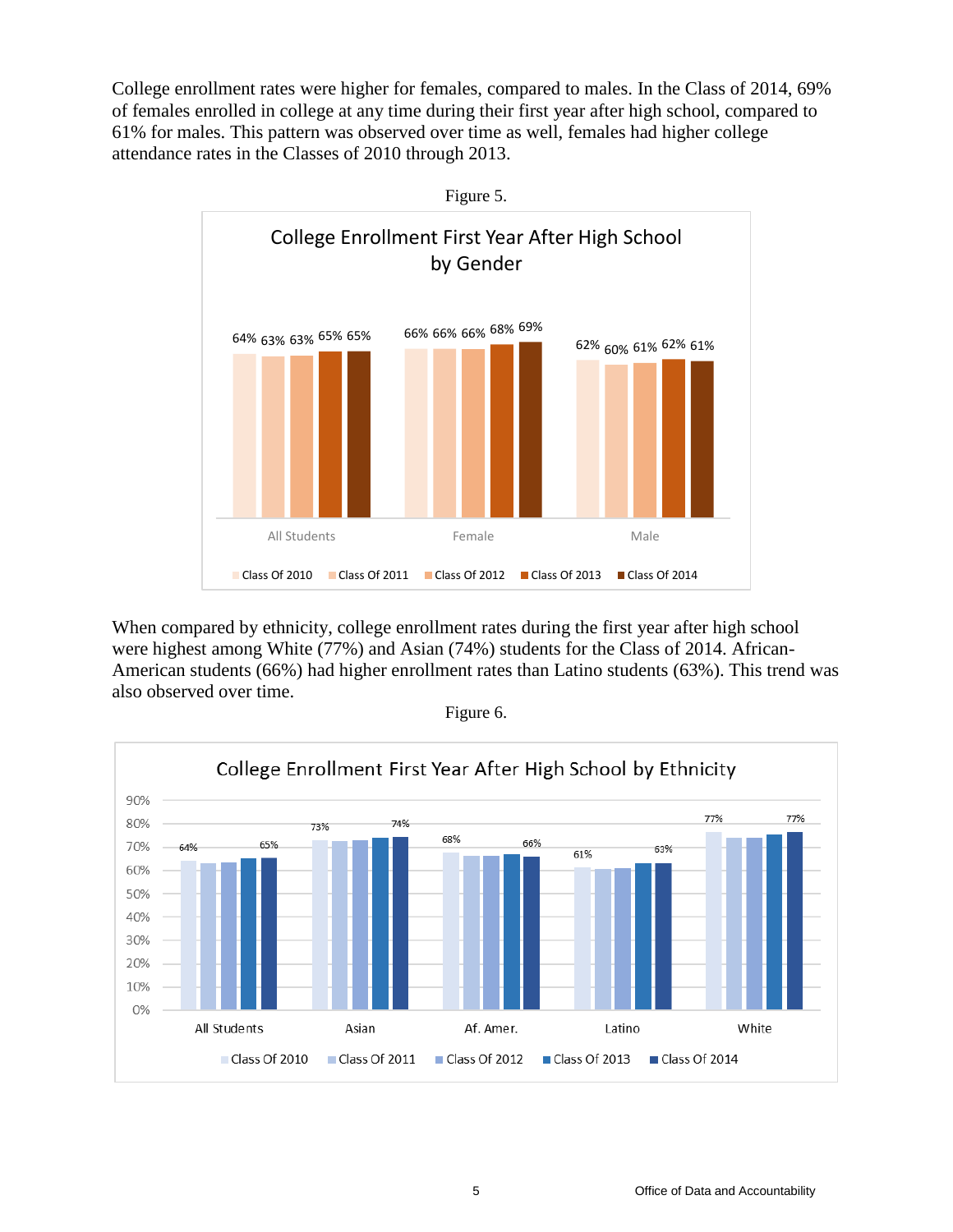College enrollment rates were higher for females, compared to males. In the Class of 2014, 69% of females enrolled in college at any time during their first year after high school, compared to 61% for males. This pattern was observed over time as well, females had higher college attendance rates in the Classes of 2010 through 2013.



When compared by ethnicity, college enrollment rates during the first year after high school were highest among White (77%) and Asian (74%) students for the Class of 2014. African-American students (66%) had higher enrollment rates than Latino students (63%). This trend was also observed over time.



Figure 6.